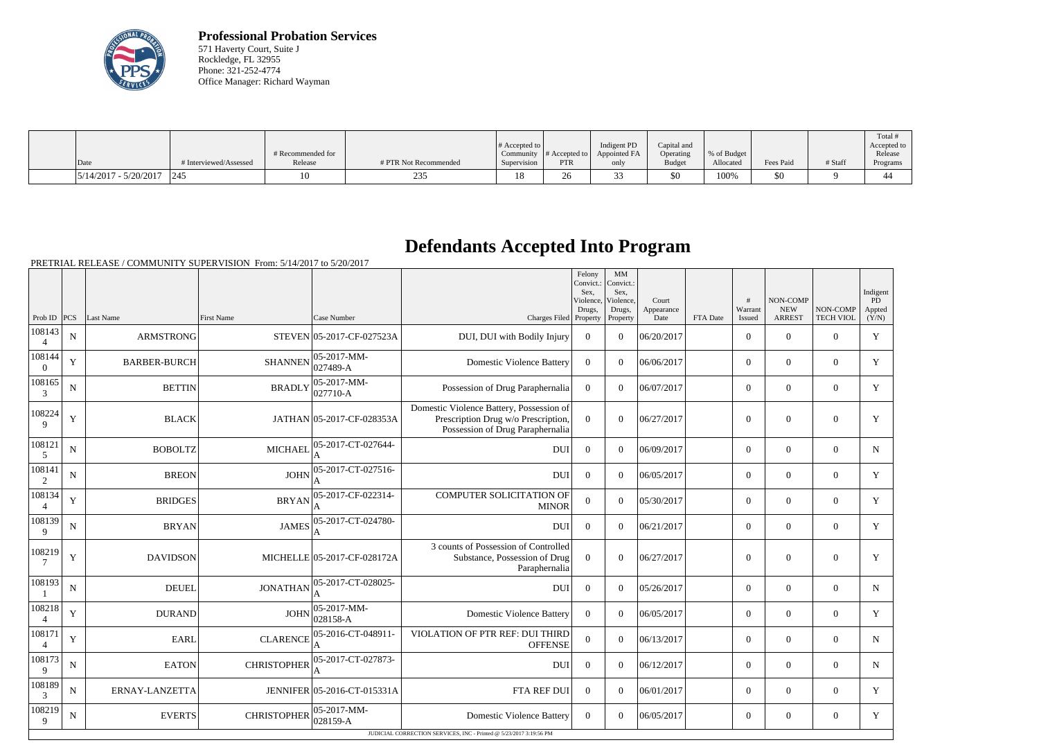

**Professional Probation Services** 571 Haverty Court, Suite J Rockledge, FL 32955 Phone: 321-252-4774 Office Manager: Richard Wayman

|                         |                        |                   |                       |                              |               |              |               |              |           |         | Total       |
|-------------------------|------------------------|-------------------|-----------------------|------------------------------|---------------|--------------|---------------|--------------|-----------|---------|-------------|
|                         |                        |                   |                       | $\#$ Accepted to $\parallel$ |               | Indigent PD  | Capital and   |              |           |         | Accepted to |
|                         |                        | # Recommended for |                       | Community                    | # Accepted to | Appointed FA | Operating     | \% of Budget |           |         | Release     |
| Date                    | # Interviewed/Assessed | Release           | # PTR Not Recommended | Supervision                  | <b>PTR</b>    | only         | <b>Budget</b> | Allocated    | Fees Paid | # Staff | Programs    |
| $5/14/2017 - 5/20/2017$ | 1245                   | 10                | 25.                   | 10<br>10                     | Ζb            |              | \$0           | 100%         | 50        |         | -44         |

## **Defendants Accepted Into Program**

PRETRIAL RELEASE / COMMUNITY SUPERVISION From: 5/14/2017 to 5/20/2017

|                          |                |                     |                    |                             |                                                                                                                     | Felony<br>Convict.:<br>Sex.<br>Violence,<br>Drugs, | MM<br>Convict.:<br>Sex.<br>Violence,<br>Drugs, | Court<br>Appearance |          | #<br>Warrant     | <b>NON-COMP</b><br><b>NEW</b> | NON-COMP         | Indigent<br>PD<br>Appted |
|--------------------------|----------------|---------------------|--------------------|-----------------------------|---------------------------------------------------------------------------------------------------------------------|----------------------------------------------------|------------------------------------------------|---------------------|----------|------------------|-------------------------------|------------------|--------------------------|
| Prob ID $ PCS $          |                | Last Name           | <b>First Name</b>  | Case Number                 | Charges Filed Property                                                                                              |                                                    | Property                                       | Date                | FTA Date | Issued           | <b>ARREST</b>                 | <b>TECH VIOL</b> | (Y/N)                    |
| 108143<br>$\overline{4}$ | $\overline{N}$ | <b>ARMSTRONG</b>    |                    | STEVEN 05-2017-CF-027523A   | DUI, DUI with Bodily Injury                                                                                         | $\overline{0}$                                     | $\overline{0}$                                 | 06/20/2017          |          | $\overline{0}$   | $\boldsymbol{0}$              | $\overline{0}$   | Y                        |
| 108144<br>$\overline{0}$ | Y              | <b>BARBER-BURCH</b> | <b>SHANNEN</b>     | 05-2017-MM-<br>027489-A     | <b>Domestic Violence Battery</b>                                                                                    | $\overline{0}$                                     | $\theta$                                       | 06/06/2017          |          | $\overline{0}$   | $\mathbf{0}$                  | $\overline{0}$   | Y                        |
| 108165<br>3              | N              | <b>BETTIN</b>       | <b>BRADLY</b>      | 05-2017-MM-<br>027710-A     | Possession of Drug Paraphernalia                                                                                    | $\Omega$                                           | $\Omega$                                       | 06/07/2017          |          | $\overline{0}$   | $\Omega$                      | $\Omega$         | Y                        |
| 108224<br>9              | Y              | <b>BLACK</b>        |                    | JATHAN 05-2017-CF-028353A   | Domestic Violence Battery, Possession of<br>Prescription Drug w/o Prescription,<br>Possession of Drug Paraphernalia | $\Omega$                                           | $\Omega$                                       | 06/27/2017          |          | $\boldsymbol{0}$ | $\mathbf{0}$                  | $\overline{0}$   | Y                        |
| 108121<br>$\overline{5}$ | N              | <b>BOBOLTZ</b>      | <b>MICHAEI</b>     | 05-2017-CT-027644-          | <b>DUI</b>                                                                                                          | $\Omega$                                           | $\theta$                                       | 06/09/2017          |          | $\overline{0}$   | $\mathbf{0}$                  | $\overline{0}$   | $\mathbf N$              |
| 108141<br>2              | $\mathbf N$    | <b>BREON</b>        | <b>JOHN</b>        | 05-2017-CT-027516-          | <b>DUI</b>                                                                                                          | $\Omega$                                           | $\Omega$                                       | 06/05/2017          |          | $\overline{0}$   | $\theta$                      | $\overline{0}$   | Y                        |
| 108134<br>$\overline{4}$ | Y              | <b>BRIDGES</b>      | <b>BRYAN</b>       | 05-2017-CF-022314-          | <b>COMPUTER SOLICITATION OF</b><br><b>MINOR</b>                                                                     | $\overline{0}$                                     | $\Omega$                                       | 05/30/2017          |          | $\overline{0}$   | $\mathbf{0}$                  | $\mathbf{0}$     | Y                        |
| 108139<br>9              | $\mathbf N$    | <b>BRYAN</b>        | <b>JAMES</b>       | 05-2017-CT-024780-          | <b>DUI</b>                                                                                                          | $\Omega$                                           | $\theta$                                       | 06/21/2017          |          | $\overline{0}$   | $\mathbf{0}$                  | $\mathbf{0}$     | Y                        |
| 108219<br>7              | Y              | <b>DAVIDSON</b>     |                    | MICHELLE 05-2017-CF-028172A | 3 counts of Possession of Controlled<br>Substance, Possession of Drug<br>Paraphernalia                              | $\theta$                                           | $\theta$                                       | 06/27/2017          |          | $\mathbf{0}$     | $\mathbf{0}$                  | $\mathbf{0}$     | Y                        |
| 108193                   | $\mathbf N$    | <b>DEUEL</b>        | <b>JONATHAN</b>    | 05-2017-CT-028025-          | <b>DUI</b>                                                                                                          | $\overline{0}$                                     | $\Omega$                                       | 05/26/2017          |          | $\overline{0}$   | $\mathbf{0}$                  | $\overline{0}$   | $\mathbf N$              |
| 108218<br>$\overline{4}$ | Y              | <b>DURAND</b>       | <b>JOHN</b>        | 05-2017-MM-<br>028158-A     | <b>Domestic Violence Battery</b>                                                                                    | $\Omega$                                           | $\theta$                                       | 06/05/2017          |          | $\overline{0}$   | $\mathbf{0}$                  | $\mathbf{0}$     | Y                        |
| 108171<br>$\overline{4}$ | Y              | <b>EARL</b>         | <b>CLARENCE</b>    | 05-2016-CT-048911-          | VIOLATION OF PTR REF: DUI THIRD<br><b>OFFENSE</b>                                                                   | $\Omega$                                           | $\Omega$                                       | 06/13/2017          |          | $\Omega$         | $\theta$                      | $\Omega$         | N                        |
| 108173<br>9              | $\mathbf N$    | <b>EATON</b>        | <b>CHRISTOPHER</b> | 05-2017-CT-027873-          | <b>DUI</b>                                                                                                          | $\Omega$                                           | $\Omega$                                       | 06/12/2017          |          | $\Omega$         | $\Omega$                      | $\Omega$         | $\mathbf N$              |
| 108189<br>3              | ${\bf N}$      | ERNAY-LANZETTA      |                    | JENNIFER 05-2016-CT-015331A | FTA REF DUI                                                                                                         | $\overline{0}$                                     | $\theta$                                       | 06/01/2017          |          | $\Omega$         | $\Omega$                      | $\overline{0}$   | Y                        |
| 108219<br>9              | N              | <b>EVERTS</b>       | <b>CHRISTOPHER</b> | 05-2017-MM-<br>028159-A     | <b>Domestic Violence Battery</b>                                                                                    | $\Omega$                                           | $\Omega$                                       | 06/05/2017          |          | $\Omega$         | $\theta$                      | $\Omega$         | Y                        |
|                          |                |                     |                    |                             | JUDICIAL CORRECTION SERVICES, INC - Printed @ 5/23/2017 3:19:56 PM                                                  |                                                    |                                                |                     |          |                  |                               |                  |                          |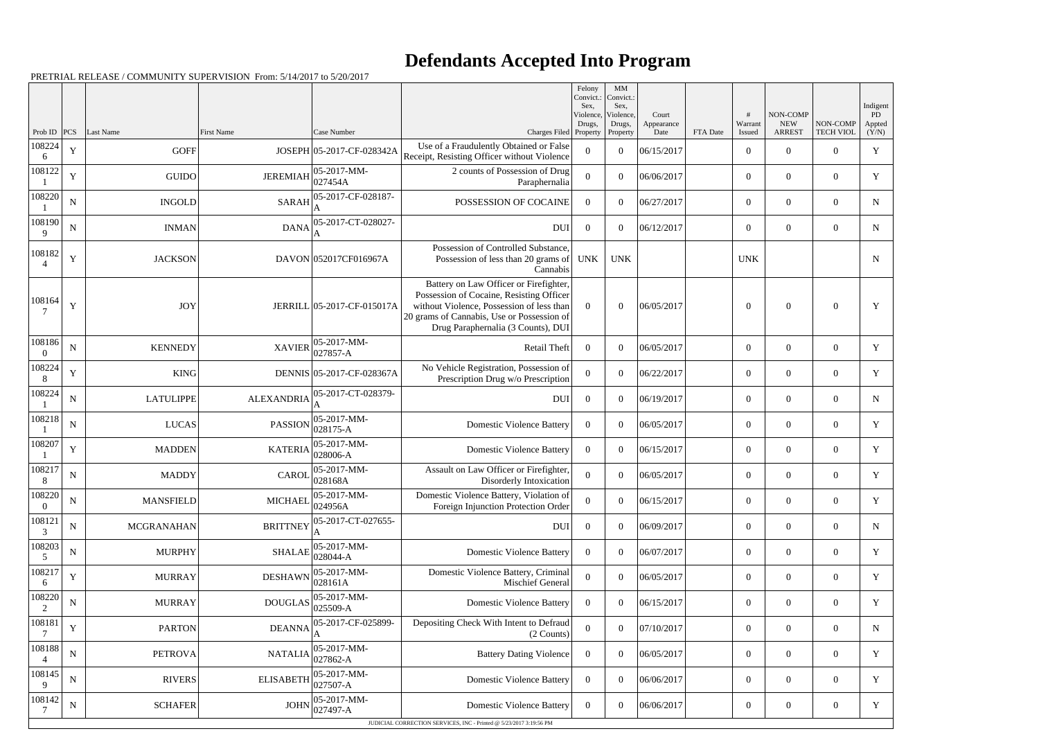## **Defendants Accepted Into Program**

|                          |             |                   | PRETRIAL RELEASE / COMMUNITY SUPERVISION From: 5/14/2017 to 5/20/2017 |                            |                                                                                                                                                                                                                     |                                                    |                                                |                     |          |                  |                        |                  |                          |
|--------------------------|-------------|-------------------|-----------------------------------------------------------------------|----------------------------|---------------------------------------------------------------------------------------------------------------------------------------------------------------------------------------------------------------------|----------------------------------------------------|------------------------------------------------|---------------------|----------|------------------|------------------------|------------------|--------------------------|
|                          |             |                   |                                                                       |                            |                                                                                                                                                                                                                     | Felony<br>Convict.:<br>Sex,<br>Violence,<br>Drugs, | MM<br>Convict.:<br>Sex,<br>Violence,<br>Drugs, | Court<br>Appearance |          | Warrant          | NON-COMP<br><b>NEW</b> | NON-COMP         | Indigent<br>PD<br>Appted |
| Prob ID $ PCS $          |             | Last Name         | First Name                                                            | Case Number                | Charges Filed Property                                                                                                                                                                                              |                                                    | Property                                       | Date                | FTA Date | Issued           | <b>ARREST</b>          | <b>TECH VIOL</b> | (Y/N)                    |
| 108224<br>6              | Y           | GOFF              |                                                                       | JOSEPH 05-2017-CF-028342A  | Use of a Fraudulently Obtained or False<br>Receipt, Resisting Officer without Violence                                                                                                                              | $\Omega$                                           | $\overline{0}$                                 | 06/15/2017          |          | $\overline{0}$   | $\overline{0}$         | $\Omega$         | Y                        |
| 108122                   | $\mathbf Y$ | GUIDO             | <b>JEREMIAH</b>                                                       | 05-2017-MM-<br>027454A     | 2 counts of Possession of Drug<br>Paraphernalia                                                                                                                                                                     | $\overline{0}$                                     | $\theta$                                       | 06/06/2017          |          | $\overline{0}$   | $\overline{0}$         | $\overline{0}$   | Y                        |
| 108220                   | ${\bf N}$   | <b>INGOLD</b>     | <b>SARAH</b>                                                          | 05-2017-CF-028187-         | POSSESSION OF COCAINE                                                                                                                                                                                               | $\Omega$                                           | $\theta$                                       | 06/27/2017          |          | $\overline{0}$   | $\overline{0}$         | $\Omega$         | N                        |
| 108190                   | ${\bf N}$   | <b>INMAN</b>      | <b>DANA</b>                                                           | 05-2017-CT-028027-         | <b>DUI</b>                                                                                                                                                                                                          | $\overline{0}$                                     | $\theta$                                       | 06/12/2017          |          | $\overline{0}$   | $\overline{0}$         | $\overline{0}$   | N                        |
| 108182<br>$\overline{4}$ | Y           | <b>JACKSON</b>    |                                                                       | DAVON 052017CF016967A      | Possession of Controlled Substance.<br>Possession of less than 20 grams of<br>Cannabis                                                                                                                              | <b>UNK</b>                                         | <b>UNK</b>                                     |                     |          | <b>UNK</b>       |                        |                  | N                        |
| 108164                   | $\mathbf Y$ | <b>JOY</b>        |                                                                       | JERRILL 05-2017-CF-015017A | Battery on Law Officer or Firefighter,<br>Possession of Cocaine, Resisting Officer<br>without Violence, Possession of less than<br>20 grams of Cannabis, Use or Possession of<br>Drug Paraphernalia (3 Counts), DUI | $\Omega$                                           | $\overline{0}$                                 | 06/05/2017          |          | $\overline{0}$   | $\overline{0}$         | $\theta$         | Y                        |
| 108186<br>$\Omega$       | ${\bf N}$   | <b>KENNEDY</b>    | <b>XAVIER</b>                                                         | 05-2017-MM-<br>027857-A    | Retail Theft                                                                                                                                                                                                        | $\overline{0}$                                     | $\theta$                                       | 06/05/2017          |          | $\boldsymbol{0}$ | $\overline{0}$         | $\overline{0}$   | Y                        |
| 108224<br>8              | $\mathbf Y$ | KING              |                                                                       | DENNIS 05-2017-CF-028367A  | No Vehicle Registration, Possession of<br>Prescription Drug w/o Prescription                                                                                                                                        | $\Omega$                                           | $\theta$                                       | 06/22/2017          |          | $\overline{0}$   | $\overline{0}$         | $\overline{0}$   | Y                        |
| 108224                   | $\mathbf N$ | <b>LATULIPPE</b>  | <b>ALEXANDRIA</b>                                                     | 05-2017-CT-028379-         | <b>DUI</b>                                                                                                                                                                                                          | $\overline{0}$                                     | $\theta$                                       | 06/19/2017          |          | $\boldsymbol{0}$ | $\overline{0}$         | $\overline{0}$   | N                        |
| 108218                   | ${\bf N}$   | <b>LUCAS</b>      | <b>PASSION</b>                                                        | 05-2017-MM-<br>028175-A    | <b>Domestic Violence Battery</b>                                                                                                                                                                                    | $\Omega$                                           | $\theta$                                       | 06/05/2017          |          | $\boldsymbol{0}$ | $\overline{0}$         | $\Omega$         | Y                        |
| 108207                   | $\mathbf Y$ | <b>MADDEN</b>     | <b>KATERIA</b>                                                        | 05-2017-MM-<br>028006-A    | <b>Domestic Violence Battery</b>                                                                                                                                                                                    | $\overline{0}$                                     | $\theta$                                       | 06/15/2017          |          | $\boldsymbol{0}$ | $\overline{0}$         | $\overline{0}$   | Y                        |
| 108217<br>8              | ${\bf N}$   | <b>MADDY</b>      | <b>CAROL</b>                                                          | 05-2017-MM-<br>028168A     | Assault on Law Officer or Firefighter,<br>Disorderly Intoxication                                                                                                                                                   | $\Omega$                                           | $\theta$                                       | 06/05/2017          |          | $\overline{0}$   | $\overline{0}$         | $\overline{0}$   | Y                        |
| 108220<br>$\overline{0}$ | ${\bf N}$   | <b>MANSFIELD</b>  | <b>MICHAEL</b>                                                        | 05-2017-MM-<br>024956A     | Domestic Violence Battery, Violation of<br>Foreign Injunction Protection Order                                                                                                                                      | $\overline{0}$                                     | $\overline{0}$                                 | 06/15/2017          |          | $\boldsymbol{0}$ | $\boldsymbol{0}$       | $\mathbf{0}$     | Y                        |
| 108121<br>3              | ${\bf N}$   | <b>MCGRANAHAN</b> | <b>BRITTNEY</b>                                                       | 05-2017-CT-027655-         | <b>DUI</b>                                                                                                                                                                                                          | $\overline{0}$                                     | $\overline{0}$                                 | 06/09/2017          |          | $\mathbf{0}$     | $\overline{0}$         | $\overline{0}$   | N                        |
| 108203<br>5              | $\mathbf N$ | MURPHY            | <b>SHALAE</b>                                                         | 05-2017-MM-<br>028044-A    | <b>Domestic Violence Battery</b>                                                                                                                                                                                    | $\overline{0}$                                     | $\overline{0}$                                 | 06/07/2017          |          | $\boldsymbol{0}$ | $\overline{0}$         | $\overline{0}$   | Y                        |
| 108217<br>6              | $\mathbf Y$ | <b>MURRAY</b>     | <b>DESHAWN</b>                                                        | 05-2017-MM-<br>028161A     | Domestic Violence Battery, Criminal<br>Mischief General                                                                                                                                                             | $\theta$                                           | $\overline{0}$                                 | 06/05/2017          |          | $\boldsymbol{0}$ | $\overline{0}$         | $\overline{0}$   | Y                        |
| 108220<br>2              | ${\bf N}$   | <b>MURRAY</b>     | <b>DOUGLAS</b>                                                        | 05-2017-MM-<br>025509-A    | <b>Domestic Violence Battery</b>                                                                                                                                                                                    | $\overline{0}$                                     | $\overline{0}$                                 | 06/15/2017          |          | $\boldsymbol{0}$ | $\overline{0}$         | $\overline{0}$   | Y                        |
| 108181                   | $\mathbf Y$ | <b>PARTON</b>     | <b>DEANNA</b>                                                         | 05-2017-CF-025899-         | Depositing Check With Intent to Defraud<br>(2 Counts)                                                                                                                                                               | $\overline{0}$                                     | $\overline{0}$                                 | 07/10/2017          |          | $\boldsymbol{0}$ | $\overline{0}$         | $\overline{0}$   | N                        |
| 108188<br>4              | ${\bf N}$   | <b>PETROVA</b>    | <b>NATALIA</b>                                                        | 05-2017-MM-<br>027862-A    | <b>Battery Dating Violence</b>                                                                                                                                                                                      | $\overline{0}$                                     | $\overline{0}$                                 | 06/05/2017          |          | $\boldsymbol{0}$ | $\overline{0}$         | $\overline{0}$   | Y                        |
| 108145<br>9              | ${\bf N}$   | <b>RIVERS</b>     | <b>ELISABETH</b>                                                      | 05-2017-MM-<br>027507-A    | <b>Domestic Violence Battery</b>                                                                                                                                                                                    | $\Omega$                                           | $\overline{0}$                                 | 06/06/2017          |          | $\boldsymbol{0}$ | $\overline{0}$         | $\overline{0}$   | Y                        |
| 108142                   | ${\bf N}$   | <b>SCHAFER</b>    | <b>JOHN</b>                                                           | 05-2017-MM-<br>027497-A    | <b>Domestic Violence Battery</b>                                                                                                                                                                                    | $\overline{0}$                                     | $\boldsymbol{0}$                               | 06/06/2017          |          | $\boldsymbol{0}$ | $\overline{0}$         | $\boldsymbol{0}$ | Y                        |
|                          |             |                   |                                                                       |                            | JUDICIAL CORRECTION SERVICES, INC - Printed @ 5/23/2017 3:19:56 PM                                                                                                                                                  |                                                    |                                                |                     |          |                  |                        |                  |                          |